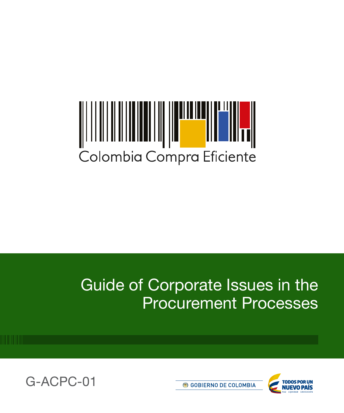# Colombia Compra Eficiente

# Guide of Corporate Issues in the Procurement Processes





**6 GOBIERNO DE COLOMBIA**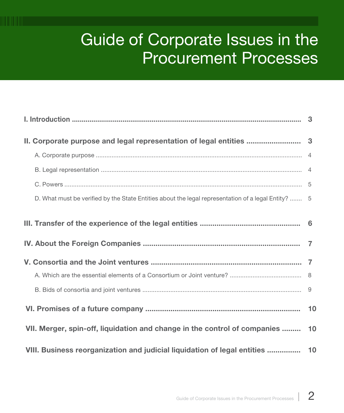# Guide of Corporate Issues in the Procurement Processes

| II. Corporate purpose and legal representation of legal entities  3                                 |  |
|-----------------------------------------------------------------------------------------------------|--|
|                                                                                                     |  |
|                                                                                                     |  |
|                                                                                                     |  |
| D. What must be verified by the State Entities about the legal representation of a legal Entity?  5 |  |
|                                                                                                     |  |
|                                                                                                     |  |
|                                                                                                     |  |
|                                                                                                     |  |
|                                                                                                     |  |
|                                                                                                     |  |
| VII. Merger, spin-off, liquidation and change in the control of companies  10                       |  |
|                                                                                                     |  |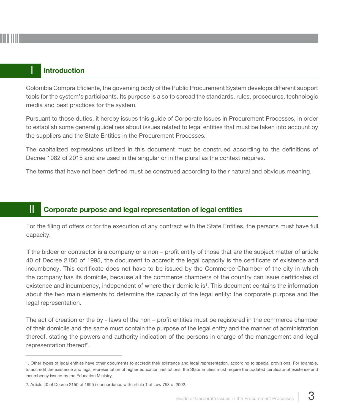# Introduction

Colombia Compra Eficiente, the governing body of the Public Procurement System develops different support tools for the system's participants. Its purpose is also to spread the standards, rules, procedures, technologic media and best practices for the system.

Pursuant to those duties, it hereby issues this guide of Corporate Issues in Procurement Processes, in order to establish some general guidelines about issues related to legal entities that must be taken into account by the suppliers and the State Entities in the Procurement Processes.

The capitalized expressions utilized in this document must be construed according to the definitions of Decree 1082 of 2015 and are used in the singular or in the plural as the context requires.

The terms that have not been defined must be construed according to their natural and obvious meaning.

# **II** Corporate purpose and legal representation of legal entities

For the filing of offers or for the execution of any contract with the State Entities, the persons must have full capacity.

If the bidder or contractor is a company or a non – profit entity of those that are the subject matter of article 40 of Decree 2150 of 1995, the document to accredit the legal capacity is the certificate of existence and incumbency. This certificate does not have to be issued by the Commerce Chamber of the city in which the company has its domicile, because all the commerce chambers of the country can issue certificates of existence and incumbency, independent of where their domicile is<sup>1</sup>. This document contains the information about the two main elements to determine the capacity of the legal entity: the corporate purpose and the legal representation.

The act of creation or the by - laws of the non – profit entities must be registered in the commerce chamber of their domicile and the same must contain the purpose of the legal entity and the manner of administration thereof, stating the powers and authority indication of the persons in charge of the management and legal representation thereof<sup>2</sup>.

<sup>1.</sup> Other types of legal entities have other documents to accredit their existence and legal representation, according to special provisions. For example, to accredit the existence and legal representation of higher education institutions, the State Entities must require the updated certificate of existence and incumbency issued by the Education Ministry.

<sup>2.</sup> Article 40 of Decree 2150 of 1995 i concordance with article 1 of Law 753 of 2002.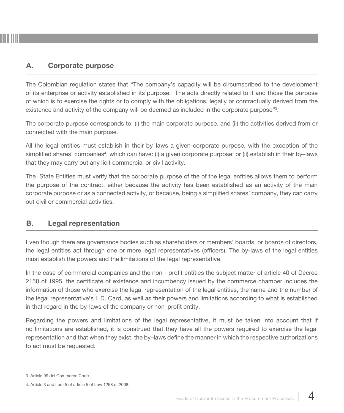# A. Corporate purpose

The Colombian regulation states that "The company's capacity will be circumscribed to the development of its enterprise or activity established in its purpose. The acts directly related to it and those the purpose of which is to exercise the rights or to comply with the obligations, legally or contractually derived from the existence and activity of the company will be deemed as included in the corporate purpose"<sup>3</sup>.

The corporate purpose corresponds to: (i) the main corporate purpose, and (ii) the activities derived from or connected with the main purpose.

All the legal entities must establish in their by–laws a given corporate purpose, with the exception of the simplified shares' companies<sup>4</sup>, which can have: (i) a given corporate purpose; or (ii) establish in their by–laws that they may carry out any licit commercial or civil activity.

The State Entities must verify that the corporate purpose of the of the legal entities allows them to perform the purpose of the contract, either because the activity has been established as an activity of the main corporate purpose or as a connected activity, or because, being a simplified shares' company, they can carry out civil or commercial activities.

## B. Legal representation

Even though there are governance bodies such as shareholders or members' boards, or boards of directors, the legal entities act through one or more legal representatives (officers). The by-laws of the legal entities must establish the powers and the limitations of the legal representative.

In the case of commercial companies and the non - profit entities the subject matter of article 40 of Decree 2150 of 1995, the certificate of existence and incumbency issued by the commerce chamber includes the information of those who exercise the legal representation of the legal entities, the name and the number of the legal representative's I. D. Card, as well as their powers and limitations according to what is established in that regard in the by-laws of the company or non–profit entity.

Regarding the powers and limitations of the legal representative, it must be taken into account that if no limitations are established, it is construed that they have all the powers required to exercise the legal representation and that when they exist, the by–laws define the manner in which the respective authorizations to act must be requested.

<sup>3.</sup> Article 99 del Commerce Code.

<sup>4.</sup> Article 3 and item 5 of article 5 of Law 1258 of 2008.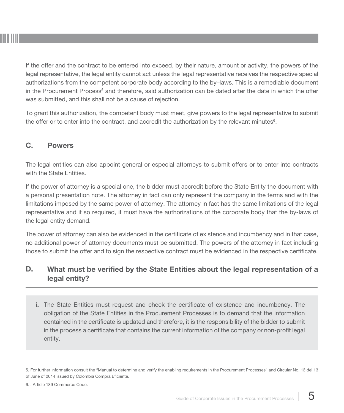If the offer and the contract to be entered into exceed, by their nature, amount or activity, the powers of the legal representative, the legal entity cannot act unless the legal representative receives the respective special authorizations from the competent corporate body according to the by–laws. This is a remediable document in the Procurement Process<sup>5</sup> and therefore, said authorization can be dated after the date in which the offer was submitted, and this shall not be a cause of rejection.

To grant this authorization, the competent body must meet, give powers to the legal representative to submit the offer or to enter into the contract, and accredit the authorization by the relevant minutes $\rm ^6$ .

# C. Powers

The legal entities can also appoint general or especial attorneys to submit offers or to enter into contracts with the State Entities

If the power of attorney is a special one, the bidder must accredit before the State Entity the document with a personal presentation note. The attorney in fact can only represent the company in the terms and with the limitations imposed by the same power of attorney. The attorney in fact has the same limitations of the legal representative and if so required, it must have the authorizations of the corporate body that the by-laws of the legal entity demand.

The power of attorney can also be evidenced in the certificate of existence and incumbency and in that case, no additional power of attorney documents must be submitted. The powers of the attorney in fact including those to submit the offer and to sign the respective contract must be evidenced in the respective certificate.

#### D. What must be verified by the State Entities about the legal representation of a legal entity?

i. The State Entities must request and check the certificate of existence and incumbency. The obligation of the State Entities in the Procurement Processes is to demand that the information contained in the certificate is updated and therefore, it is the responsibility of the bidder to submit in the process a certificate that contains the current information of the company or non-profit legal entity.

<sup>5.</sup> For further information consult the "Manual to determine and verify the enabling requirements in the Procurement Processes" and Circular No. 13 del 13 of June of 2014 issued by Colombia Compra Eficiente.

<sup>6. .</sup> Article 189 Commerce Code.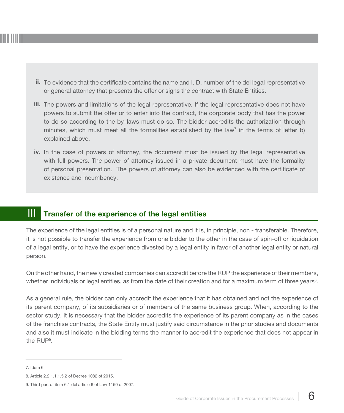- ii. To evidence that the certificate contains the name and I. D. number of the del legal representative or general attorney that presents the offer or signs the contract with State Entities.
- iii. The powers and limitations of the legal representative. If the legal representative does not have powers to submit the offer or to enter into the contract, the corporate body that has the power to do so according to the by–laws must do so. The bidder accredits the authorization through minutes, which must meet all the formalities established by the law<sup>7</sup> in the terms of letter b) explained above.
- iv. In the case of powers of attorney, the document must be issued by the legal representative with full powers. The power of attorney issued in a private document must have the formality of personal presentation. The powers of attorney can also be evidenced with the certificate of existence and incumbency.

# **III** Transfer of the experience of the legal entities

The experience of the legal entities is of a personal nature and it is, in principle, non - transferable. Therefore, it is not possible to transfer the experience from one bidder to the other in the case of spin-off or liquidation of a legal entity, or to have the experience divested by a legal entity in favor of another legal entity or natural person.

On the other hand, the newly created companies can accredit before the RUP the experience of their members, whether individuals or legal entities, as from the date of their creation and for a maximum term of three years $^{\rm 8}.$ 

As a general rule, the bidder can only accredit the experience that it has obtained and not the experience of its parent company, of its subsidiaries or of members of the same business group. When, according to the sector study, it is necessary that the bidder accredits the experience of its parent company as in the cases of the franchise contracts, the State Entity must justify said circumstance in the prior studies and documents and also it must indicate in the bidding terms the manner to accredit the experience that does not appear in the RUP9 .

<sup>7.</sup> Idem 6.

<sup>8.</sup> Article 2.2.1.1.1.5.2 of Decree 1082 of 2015.

<sup>9.</sup> Third part of item 6.1 del article 6 of Law 1150 of 2007.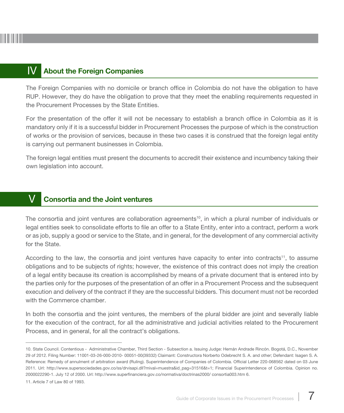#### IV About the Foreign Companies

The Foreign Companies with no domicile or branch office in Colombia do not have the obligation to have RUP. However, they do have the obligation to prove that they meet the enabling requirements requested in the Procurement Processes by the State Entities.

For the presentation of the offer it will not be necessary to establish a branch office in Colombia as it is mandatory only if it is a successful bidder in Procurement Processes the purpose of which is the construction of works or the provision of services, because in these two cases it is construed that the foreign legal entity is carrying out permanent businesses in Colombia.

The foreign legal entities must present the documents to accredit their existence and incumbency taking their own legislation into account.

#### V Consortia and the Joint ventures

The consortia and joint ventures are collaboration agreements<sup>10</sup>, in which a plural number of individuals or legal entities seek to consolidate efforts to file an offer to a State Entity, enter into a contract, perform a work or as job, supply a good or service to the State, and in general, for the development of any commercial activity for the State.

According to the law, the consortia and joint ventures have capacity to enter into contracts<sup>11</sup>, to assume obligations and to be subjects of rights; however, the existence of this contract does not imply the creation of a legal entity because its creation is accomplished by means of a private document that is entered into by the parties only for the purposes of the presentation of an offer in a Procurement Process and the subsequent execution and delivery of the contract if they are the successful bidders. This document must not be recorded with the Commerce chamber.

In both the consortia and the joint ventures, the members of the plural bidder are joint and severally liable for the execution of the contract, for all the administrative and judicial activities related to the Procurement Process, and in general, for all the contract's obligations.

<sup>10.</sup> State Council. Contentious - Administrative Chamber, Third Section - Subsection a. Issuing Judge: Hernán Andrade Rincón. Bogotá, D.C., November 29 of 2012. Filing Number: 11001-03-26-000-2010- 00051-00(39332) Claimant: Constructora Norberto Odebrecht S. A. and other; Defendant: Isagen S. A. Reference: Remedy of annulment of arbitration award (Ruling). Superintendence of Companies of Colombia. Official Letter 220-068562 dated on 03 June 2011. Url: http://www.supersociedades.gov.co/ss/drvisapi.dll?mival=muestra&id\_pag=31516&t=1; Financial Superintendence of Colombia. Opinion no. 2000022290-1. July 12 of 2000. Url: http://www.superfinanciera.gov.co/normativa/doctrinas2000/ consortia003.htm 6.

<sup>11.</sup> Article 7 of Law 80 of 1993.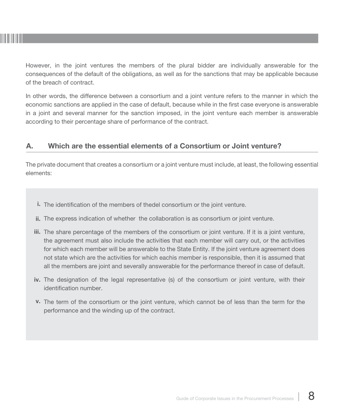

However, in the joint ventures the members of the plural bidder are individually answerable for the consequences of the default of the obligations, as well as for the sanctions that may be applicable because of the breach of contract.

In other words, the difference between a consortium and a joint venture refers to the manner in which the economic sanctions are applied in the case of default, because while in the first case everyone is answerable in a joint and several manner for the sanction imposed, in the joint venture each member is answerable according to their percentage share of performance of the contract.

### A. Which are the essential elements of a Consortium or Joint venture?

The private document that creates a consortium or a joint venture must include, at least, the following essential elements:

- i. The identification of the members of thedel consortium or the joint venture.
- ii. The express indication of whether the collaboration is as consortium or joint venture.
- iii. The share percentage of the members of the consortium or joint venture. If it is a joint venture, the agreement must also include the activities that each member will carry out, or the activities for which each member will be answerable to the State Entity. If the joint venture agreement does not state which are the activities for which eachis member is responsible, then it is assumed that all the members are joint and severally answerable for the performance thereof in case of default.
- iv. The designation of the legal representative (s) of the consortium or joint venture, with their identification number.
- v. The term of the consortium or the joint venture, which cannot be of less than the term for the performance and the winding up of the contract.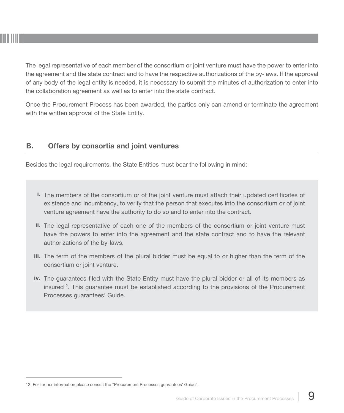

The legal representative of each member of the consortium or joint venture must have the power to enter into the agreement and the state contract and to have the respective authorizations of the by-laws. If the approval of any body of the legal entity is needed, it is necessary to submit the minutes of authorization to enter into the collaboration agreement as well as to enter into the state contract.

Once the Procurement Process has been awarded, the parties only can amend or terminate the agreement with the written approval of the State Entity.

## B. Offers by consortia and joint ventures

Besides the legal requirements, the State Entities must bear the following in mind:

- i. The members of the consortium or of the joint venture must attach their updated certificates of existence and incumbency, to verify that the person that executes into the consortium or of joint venture agreement have the authority to do so and to enter into the contract.
- ii. The legal representative of each one of the members of the consortium or joint venture must have the powers to enter into the agreement and the state contract and to have the relevant authorizations of the by-laws.
- iii. The term of the members of the plural bidder must be equal to or higher than the term of the consortium or joint venture.
- iv. The guarantees filed with the State Entity must have the plural bidder or all of its members as insured<sup>12</sup>. This guarantee must be established according to the provisions of the Procurement Processes guarantees' Guide.

<sup>12.</sup> For further information please consult the "Procurement Processes guarantees' Guide".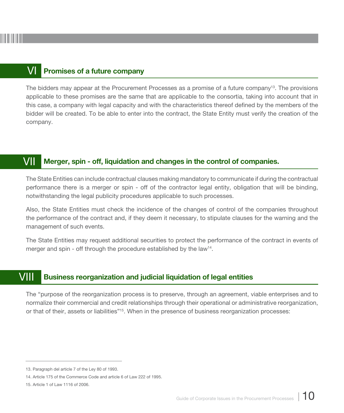#### VI Promises of a future company

The bidders may appear at the Procurement Processes as a promise of a future company<sup>13</sup>. The provisions applicable to these promises are the same that are applicable to the consortia, taking into account that in this case, a company with legal capacity and with the characteristics thereof defined by the members of the bidder will be created. To be able to enter into the contract, the State Entity must verify the creation of the company.

#### VII Merger, spin - off, liquidation and changes in the control of companies.

The State Entities can include contractual clauses making mandatory to communicate if during the contractual performance there is a merger or spin - off of the contractor legal entity, obligation that will be binding, notwithstanding the legal publicity procedures applicable to such processes.

Also, the State Entities must check the incidence of the changes of control of the companies throughout the performance of the contract and, if they deem it necessary, to stipulate clauses for the warning and the management of such events.

The State Entities may request additional securities to protect the performance of the contract in events of merger and spin - off through the procedure established by the law<sup>14</sup>.

#### VIII Business reorganization and judicial liquidation of legal entities

The "purpose of the reorganization process is to preserve, through an agreement, viable enterprises and to normalize their commercial and credit relationships through their operational or administrative reorganization, or that of their, assets or liabilities"15. When in the presence of business reorganization processes:

<sup>13.</sup> Paragraph del article 7 of the Ley 80 of 1993.

<sup>14.</sup> Article 175 of the Commerce Code and article 6 of Law 222 of 1995.

<sup>15.</sup> Article 1 of Law 1116 of 2006.